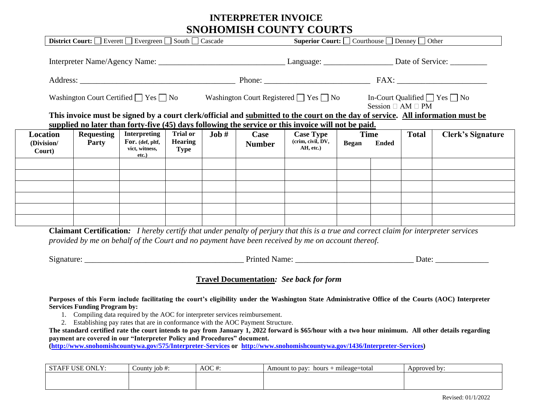## **INTERPRETER INVOICE SNOHOMISH COUNTY COURTS**

|                                  |                            |                                                                    |                                                  |         |                       | Washington Court Certified $\Box$ Yes $\Box$ No Washington Court Registered $\Box$ Yes $\Box$ No In-Court Qualified $\Box$ Yes $\Box$ No |                             |              | Session $\Box$ AM $\Box$ PM |                                                                                                                                 |  |
|----------------------------------|----------------------------|--------------------------------------------------------------------|--------------------------------------------------|---------|-----------------------|------------------------------------------------------------------------------------------------------------------------------------------|-----------------------------|--------------|-----------------------------|---------------------------------------------------------------------------------------------------------------------------------|--|
|                                  |                            |                                                                    |                                                  |         |                       | supplied no later than forty-five (45) days following the service or this invoice will not be paid.                                      |                             |              |                             | This invoice must be signed by a court clerk/official and submitted to the court on the day of service. All information must be |  |
| Location<br>(Division/<br>Court) | <b>Requesting</b><br>Party | <b>Interpreting</b><br>For. (def, pltf,<br>vict, witness,<br>etc.) | <b>Trial or</b><br><b>Hearing</b><br><b>Type</b> | $Job #$ | Case<br><b>Number</b> | <b>Case Type</b><br>(crim, civil, DV,<br>AH, etc.)                                                                                       | <b>Time</b><br><b>Began</b> | <b>Ended</b> | <b>Total</b>                | <b>Clerk's Signature</b>                                                                                                        |  |
|                                  |                            |                                                                    |                                                  |         |                       |                                                                                                                                          |                             |              |                             |                                                                                                                                 |  |
|                                  |                            |                                                                    |                                                  |         |                       |                                                                                                                                          |                             |              |                             |                                                                                                                                 |  |
|                                  |                            |                                                                    |                                                  |         |                       |                                                                                                                                          |                             |              |                             |                                                                                                                                 |  |

| Signature: |  | Jate<br>- |  |
|------------|--|-----------|--|
|            |  |           |  |

## **Travel Documentation***: See back for form*

**Purposes of this Form include facilitating the court's eligibility under the Washington State Administrative Office of the Courts (AOC) Interpreter Services Funding Program by:** 

- 1. Compiling data required by the AOC for interpreter services reimbursement.
- 2. Establishing pay rates that are in conformance with the AOC Payment Structure.

**The standard certified rate the court intends to pay from January 1, 2022 forward is \$65/hour with a two hour minimum. All other details regarding payment are covered in our "Interpreter Policy and Procedures" document.** 

**[\(http://www.snohomishcountywa.gov/575/Interpreter-Services](http://www.snohomishcountywa.gov/575/Interpreter-Services) or [http://www.snohomishcountywa.gov/1436/Interpreter-Services\)](http://www.snohomishcountywa.gov/1436/Interpreter-Services)** 

| ONLY:<br>AOC $#$<br><b>STAFF</b><br>'USE<br>County $10b$ #: |  | + mileage=total<br>Amount to pay:<br>hours | Approved by: |  |  |
|-------------------------------------------------------------|--|--------------------------------------------|--------------|--|--|
|                                                             |  |                                            |              |  |  |
|                                                             |  |                                            |              |  |  |